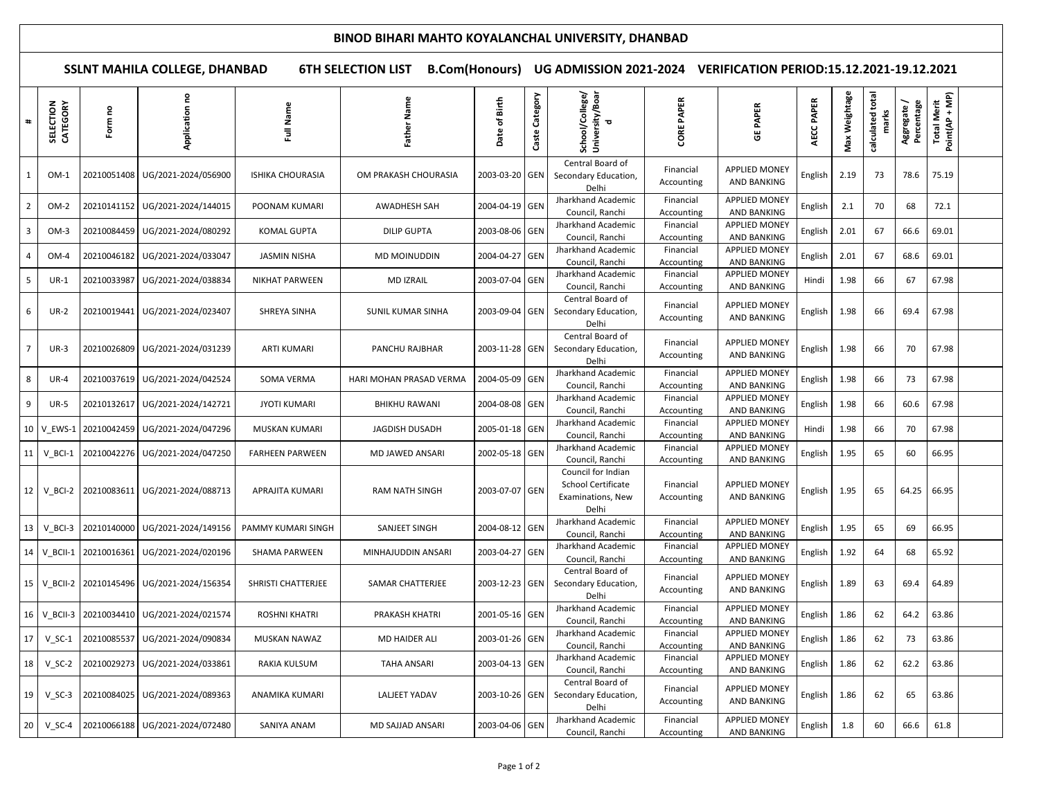## **BINOD BIHARI MAHTO KOYALANCHAL UNIVERSITY, DHANBAD**

**SSLNT MAHILA COLLEGE, DHANBAD 6TH SELECTION LIST B.Com(Honours) UG ADMISSION 2021-2024 VERIFICATION PERIOD:15.12.2021-19.12.2021**

| #              | SELECTION<br>CATEGORY  | Form no                     | Application no                  | Full Name               | Father Name              | of Birth<br>Date | Category<br>Caste | School/College/<br>University/Boar<br>d                                | <b>CORE PAPER</b>       | <b>GE PAPER</b>                            | AECC PAPER | Weightage<br>Max | calculated total | Percentage<br>Aggregate/ | Total Merit<br>Point(AP + MP) |  |
|----------------|------------------------|-----------------------------|---------------------------------|-------------------------|--------------------------|------------------|-------------------|------------------------------------------------------------------------|-------------------------|--------------------------------------------|------------|------------------|------------------|--------------------------|-------------------------------|--|
| 1              | $OM-1$                 | 20210051408                 | UG/2021-2024/056900             | <b>ISHIKA CHOURASIA</b> | OM PRAKASH CHOURASIA     | 2003-03-20       | <b>GEN</b>        | Central Board of<br>Secondary Education,<br>Delhi                      | Financial<br>Accounting | APPLIED MONEY<br><b>AND BANKING</b>        | English    | 2.19             | 73               | 78.6                     | 75.19                         |  |
| 2              | OM-2                   | 20210141152                 | UG/2021-2024/144015             | POONAM KUMARI           | AWADHESH SAH             | 2004-04-19 GEN   |                   | Jharkhand Academic<br>Council, Ranchi                                  | Financial<br>Accounting | <b>APPLIED MONEY</b><br><b>AND BANKING</b> | English    | 2.1              | 70               | 68                       | 72.1                          |  |
| 3              | $OM-3$                 | 20210084459                 | UG/2021-2024/080292             | KOMAL GUPTA             | <b>DILIP GUPTA</b>       | 2003-08-06       | <b>GEN</b>        | Jharkhand Academic<br>Council, Ranchi                                  | Financial<br>Accounting | <b>APPLIED MONEY</b><br><b>AND BANKING</b> | English    | 2.01             | 67               | 66.6                     | 69.01                         |  |
|                | OM-4                   | 20210046182                 | UG/2021-2024/033047             | <b>JASMIN NISHA</b>     | MD MOINUDDIN             | 2004-04-27 GEN   |                   | Jharkhand Academic<br>Council, Ranchi                                  | Financial<br>Accounting | <b>APPLIED MONEY</b><br><b>AND BANKING</b> | English    | 2.01             | 67               | 68.6                     | 69.01                         |  |
| 5              | $UR-1$                 | 20210033987                 | UG/2021-2024/038834             | NIKHAT PARWEEN          | <b>MD IZRAIL</b>         | 2003-07-04       | GEN               | Jharkhand Academic<br>Council, Ranchi                                  | Financial<br>Accounting | <b>APPLIED MONEY</b><br><b>AND BANKING</b> | Hindi      | 1.98             | 66               | 67                       | 67.98                         |  |
| 6              | <b>UR-2</b>            | 20210019441                 | UG/2021-2024/023407             | SHREYA SINHA            | <b>SUNIL KUMAR SINHA</b> | 2003-09-04 GEN   |                   | Central Board of<br>Secondary Education,<br>Delhi                      | Financial<br>Accounting | <b>APPLIED MONEY</b><br>AND BANKING        | English    | 1.98             | 66               | 69.4                     | 67.98                         |  |
| $\overline{7}$ | $UR-3$                 | 20210026809                 | UG/2021-2024/031239             | ARTI KUMARI             | PANCHU RAJBHAR           | 2003-11-28 GEN   |                   | Central Board of<br>Secondary Education,<br>Delhi                      | Financial<br>Accounting | <b>APPLIED MONEY</b><br>AND BANKING        | English    | 1.98             | 66               | 70                       | 67.98                         |  |
| 8              | <b>UR-4</b>            |                             | 20210037619 UG/2021-2024/042524 | SOMA VERMA              | HARI MOHAN PRASAD VERMA  | 2004-05-09 GEN   |                   | Jharkhand Academic<br>Council, Ranchi                                  | Financial<br>Accounting | <b>APPLIED MONEY</b><br><b>AND BANKING</b> | English    | 1.98             | 66               | 73                       | 67.98                         |  |
| 9              | <b>UR-5</b>            | 20210132617                 | UG/2021-2024/142721             | <b>JYOTI KUMARI</b>     | <b>BHIKHU RAWANI</b>     | 2004-08-08 GEN   |                   | Jharkhand Academic<br>Council, Ranchi                                  | Financial<br>Accounting | <b>APPLIED MONEY</b><br><b>AND BANKING</b> | English    | 1.98             | 66               | 60.6                     | 67.98                         |  |
| 10             | V_EWS-1                | 20210042459                 | UG/2021-2024/047296             | MUSKAN KUMARI           | <b>JAGDISH DUSADH</b>    | 2005-01-18 GEN   |                   | Jharkhand Academic<br>Council, Ranchi                                  | Financial<br>Accounting | <b>APPLIED MONEY</b><br><b>AND BANKING</b> | Hindi      | 1.98             | 66               | 70                       | 67.98                         |  |
| 11             | $V$ <sub>_</sub> BCI-1 | 20210042276                 | UG/2021-2024/047250             | <b>FARHEEN PARWEEN</b>  | MD JAWED ANSARI          | 2002-05-18 GEN   |                   | Jharkhand Academic<br>Council, Ranchi                                  | Financial<br>Accounting | <b>APPLIED MONEY</b><br>AND BANKING        | English    | 1.95             | 65               | 60                       | 66.95                         |  |
|                | 12 V_BCI-2             | 20210083611                 | UG/2021-2024/088713             | APRAJITA KUMARI         | <b>RAM NATH SINGH</b>    | 2003-07-07 GEN   |                   | Council for Indian<br>School Certificate<br>Examinations, New<br>Delhi | Financial<br>Accounting | <b>APPLIED MONEY</b><br><b>AND BANKING</b> | English    | 1.95             | 65               | 64.25                    | 66.95                         |  |
| 13             | $V$ <sub>BCI-3</sub>   | 20210140000                 | UG/2021-2024/149156             | PAMMY KUMARI SINGH      | SANJEET SINGH            | 2004-08-12       | <b>GEN</b>        | Jharkhand Academic<br>Council, Ranchi                                  | Financial<br>Accounting | <b>APPLIED MONEY</b><br><b>AND BANKING</b> | English    | 1.95             | 65               | 69                       | 66.95                         |  |
|                | 14 V_BCII-1            | 20210016361                 | UG/2021-2024/020196             | SHAMA PARWEEN           | MINHAJUDDIN ANSARI       | 2003-04-27       | <b>GEN</b>        | Jharkhand Academic<br>Council, Ranchi                                  | Financial<br>Accounting | <b>APPLIED MONEY</b><br><b>AND BANKING</b> | English    | 1.92             | 64               | 68                       | 65.92                         |  |
|                |                        | 15   V BCII-2   20210145496 | UG/2021-2024/156354             | SHRISTI CHATTERJEE      | SAMAR CHATTERJEE         | 2003-12-23 GEN   |                   | Central Board of<br>Secondary Education,<br>Delhi                      | Financial<br>Accounting | <b>APPLIED MONEY</b><br>AND BANKING        | English    | 1.89             | 63               | 69.4                     | 64.89                         |  |
| 16             | $V_BCII-3$             | 20210034410                 | UG/2021-2024/021574             | <b>ROSHNI KHATRI</b>    | PRAKASH KHATRI           | 2001-05-16 GEN   |                   | Jharkhand Academic<br>Council, Ranchi                                  | Financial<br>Accounting | <b>APPLIED MONEY</b><br><b>AND BANKING</b> | English    | 1.86             | 62               | 64.2                     | 63.86                         |  |
| 17             | $V_SC-1$               | 20210085537                 | UG/2021-2024/090834             | <b>MUSKAN NAWAZ</b>     | MD HAIDER ALI            | 2003-01-26 GEN   |                   | Jharkhand Academic<br>Council, Ranchi                                  | Financial<br>Accounting | <b>APPLIED MONEY</b><br><b>AND BANKING</b> | English    | 1.86             | 62               | 73                       | 63.86                         |  |
| 18             | $V_SC-2$               | 20210029273                 | UG/2021-2024/033861             | RAKIA KULSUM            | <b>TAHA ANSARI</b>       | 2003-04-13 GEN   |                   | Jharkhand Academic<br>Council, Ranchi                                  | Financial<br>Accounting | <b>APPLIED MONEY</b><br>AND BANKING        | English    | 1.86             | 62               | 62.2                     | 63.86                         |  |
| 19             | $V$ SC-3               |                             | 20210084025 UG/2021-2024/089363 | ANAMIKA KUMARI          | LALJEET YADAV            | 2003-10-26 GEN   |                   | Central Board of<br>Secondary Education,<br>Delhi                      | Financial<br>Accounting | <b>APPLIED MONEY</b><br><b>AND BANKING</b> | English    | 1.86             | 62               | 65                       | 63.86                         |  |
| 20             | $V_SC-4$               | 20210066188                 | UG/2021-2024/072480             | SANIYA ANAM             | MD SAJJAD ANSARI         | 2003-04-06 GEN   |                   | Jharkhand Academic<br>Council, Ranchi                                  | Financial<br>Accounting | <b>APPLIED MONEY</b><br><b>AND BANKING</b> | English    | 1.8              | 60               | 66.6                     | 61.8                          |  |